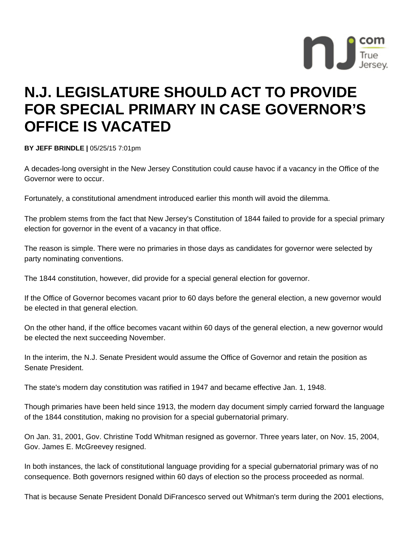

## **N.J. LEGISLATURE SHOULD ACT TO PROVIDE FOR SPECIAL PRIMARY IN CASE GOVERNOR'S OFFICE IS VACATED**

**BY JEFF BRINDLE |** 05/25/15 7:01pm

A decades-long oversight in the New Jersey Constitution could cause havoc if a vacancy in the Office of the Governor were to occur.

Fortunately, a constitutional amendment introduced earlier this month will avoid the dilemma.

The problem stems from the fact that New Jersey's Constitution of 1844 failed to provide for a special primary election for governor in the event of a vacancy in that office.

The reason is simple. There were no primaries in those days as candidates for governor were selected by party nominating conventions.

The 1844 constitution, however, did provide for a special general election for governor.

If the Office of Governor becomes vacant prior to 60 days before the general election, a new governor would be elected in that general election.

On the other hand, if the office becomes vacant within 60 days of the general election, a new governor would be elected the next succeeding November.

In the interim, the N.J. Senate President would assume the Office of Governor and retain the position as Senate President.

The state's modern day constitution was ratified in 1947 and became effective Jan. 1, 1948.

Though primaries have been held since 1913, the modern day document simply carried forward the language of the 1844 constitution, making no provision for a special gubernatorial primary.

On Jan. 31, 2001, Gov. Christine Todd Whitman resigned as governor. Three years later, on Nov. 15, 2004, Gov. James E. McGreevey resigned.

In both instances, the lack of constitutional language providing for a special gubernatorial primary was of no consequence. Both governors resigned within 60 days of election so the process proceeded as normal.

That is because Senate President Donald DiFrancesco served out Whitman's term during the 2001 elections,